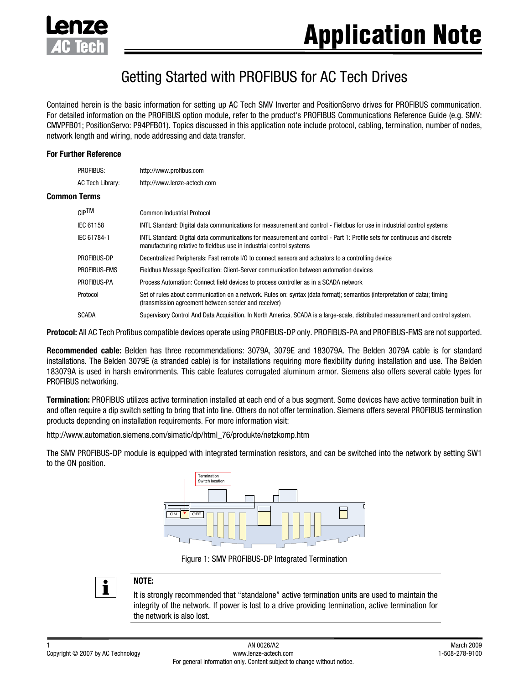

# Getting Started with PROFIBUS for AC Tech Drives

Contained herein is the basic information for setting up AC Tech SMV Inverter and PositionServo drives for PROFIBUS communication. For detailed information on the PROFIBUS option module, refer to the product's PROFIBUS Communications Reference Guide (e.g. SMV: CMVPFB01; PositionServo: P94PFB01). Topics discussed in this application note include protocol, cabling, termination, number of nodes, network length and wiring, node addressing and data transfer.

#### **For Further Reference**

**Common** 

| <b>PROFIBUS:</b> | http://www.profibus.com                                                                                                                                                                           |  |  |  |  |  |
|------------------|---------------------------------------------------------------------------------------------------------------------------------------------------------------------------------------------------|--|--|--|--|--|
| AC Tech Library: | http://www.lenze-actech.com                                                                                                                                                                       |  |  |  |  |  |
| <b>Terms</b>     |                                                                                                                                                                                                   |  |  |  |  |  |
| $CIP$ TM         | Common Industrial Protocol                                                                                                                                                                        |  |  |  |  |  |
| IEC 61158        | INTL Standard: Digital data communications for measurement and control - Fieldbus for use in industrial control systems                                                                           |  |  |  |  |  |
| IEC 61784-1      | INTL Standard: Digital data communications for measurement and control - Part 1: Profile sets for continuous and discrete<br>manufacturing relative to fieldbus use in industrial control systems |  |  |  |  |  |
| PROFIBUS-DP      | Decentralized Peripherals: Fast remote I/O to connect sensors and actuators to a controlling device                                                                                               |  |  |  |  |  |
| PROFIBUS-FMS     | Fieldbus Message Specification: Client-Server communication between automation devices                                                                                                            |  |  |  |  |  |
| PROFIBUS-PA      | Process Automation: Connect field devices to process controller as in a SCADA network                                                                                                             |  |  |  |  |  |
| Protocol         | Set of rules about communication on a network. Rules on: syntax (data format); semantics (interpretation of data); timing<br>(transmission agreement between sender and receiver)                 |  |  |  |  |  |
| <b>SCADA</b>     | Supervisory Control And Data Acquisition. In North America, SCADA is a large-scale, distributed measurement and control system.                                                                   |  |  |  |  |  |

**Protocol:** All AC Tech Profibus compatible devices operate using PROFIBUS-DP only. PROFIBUS-PA and PROFIBUS-FMS are not supported.

**Recommended cable:** Belden has three recommendations: 3079A, 3079E and 183079A. The Belden 3079A cable is for standard installations. The Belden 3079E (a stranded cable) is for installations requiring more flexibility during installation and use. The Belden 183079A is used in harsh environments. This cable features corrugated aluminum armor. Siemens also offers several cable types for PROFIBUS networking.

**Termination:** PROFIBUS utilizes active termination installed at each end of a bus segment. Some devices have active termination built in and often require a dip switch setting to bring that into line. Others do not offer termination. Siemens offers several PROFIBUS termination products depending on installation requirements. For more information visit:

http://www.automation.siemens.com/simatic/dp/html\_76/produkte/netzkomp.htm

The SMV PROFIBUS-DP module is equipped with integrated termination resistors, and can be switched into the network by setting SW1 to the ON position.



Figure 1: SMV PROFIBUS-DP Integrated Termination



# **NOTE:**

It is strongly recommended that "standalone" active termination units are used to maintain the integrity of the network. If power is lost to a drive providing termination, active termination for the network is also lost.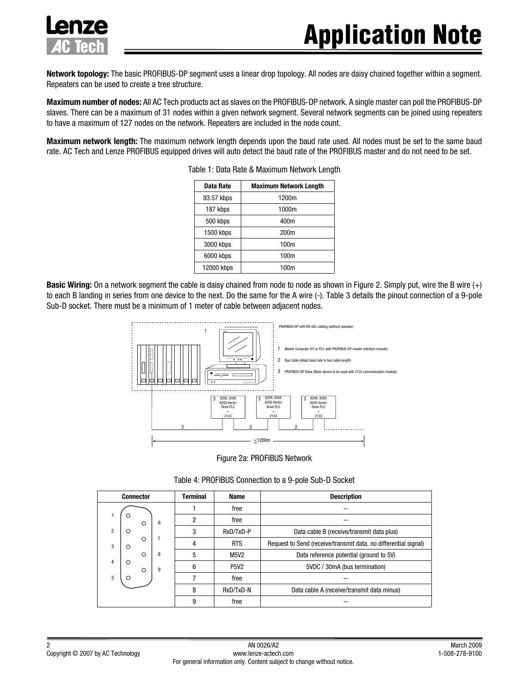

**Network topology:** The basic PROFIBUS-DP segment uses a linear drop topology. All nodes are daisy chained together within a segment. Repeaters can be used to create a tree structure.

**Maximum number of nodes:** All AC Tech products act as slaves on the PROFIBUS-DP network. A single master can poll the PROFIBUS-DP slaves. There can be a maximum of 31 nodes within a given network segment. Several network segments can be joined using repeaters to have a maximum of 127 nodes on the network. Repeaters are included in the node count.

**Maximum network length:** The maximum network length depends upon the baud rate used. All nodes must be set to the same baud rate. AC Tech and Lenze PROFIBUS equipped drives will auto detect the baud rate of the PROFIBUS master and do not need to be set.

| Data Rate  | <b>Maximum Network Length</b> |  |  |  |
|------------|-------------------------------|--|--|--|
| 93.57 kbps | 1200m                         |  |  |  |
| 187 kbps   | 1000m                         |  |  |  |
| 500 kbps   | 400m                          |  |  |  |
| 1500 kbps  | 200m                          |  |  |  |
| 3000 kbps  | 100m                          |  |  |  |
| 6000 kbps  | 100m                          |  |  |  |
| 12000 kbps | 100m                          |  |  |  |

Table 1: Data Rate & Maximum Network Length

**Basic Wiring:** On a network segment the cable is daisy chained from node to node as shown in Figure 2. Simply put, wire the B wire (+) to each B landing in series from one device to the next. Do the same for the A wire (-). Table 3 details the pinout connection of a 9-pole Sub-D socket. There must be a minimum of 1 meter of cable between adjacent nodes.



Figure 2a: PROFIBUS Network

| <b>Connector</b> |                    |   |                                                        | <b>Terminal</b> | <b>Name</b> | <b>Description</b>                                              |  |  |  |
|------------------|--------------------|---|--------------------------------------------------------|-----------------|-------------|-----------------------------------------------------------------|--|--|--|
|                  |                    |   |                                                        |                 | free        |                                                                 |  |  |  |
|                  | Ω                  | O | 6                                                      | 2               | free        | --                                                              |  |  |  |
| $\overline{2}$   | $\circ$            |   |                                                        | 3               | RxD/TxD-P   | Data cable B (receive/transmit data plus)                       |  |  |  |
| 3                | $\circ$<br>$\circ$ |   | 7                                                      | 4               | <b>RTS</b>  | Request to Send (receive/transmit data, no differential signal) |  |  |  |
|                  |                    | O | 8                                                      | 5               | <b>M5V2</b> | Data reference potential (ground to 5V)                         |  |  |  |
| 4                | $\circ$            | O | 5VDC / 30mA (bus termination)<br>6<br><b>P5V2</b><br>9 |                 |             |                                                                 |  |  |  |
| 5                |                    |   |                                                        |                 | free        |                                                                 |  |  |  |
|                  |                    |   |                                                        | 8               | RxD/TxD-N   | Data cable A (receive/transmit data minus)                      |  |  |  |
|                  |                    |   |                                                        | 9               | free        |                                                                 |  |  |  |

Table 4: PROFIBUS Connection to a 9-pole Sub-D Socket